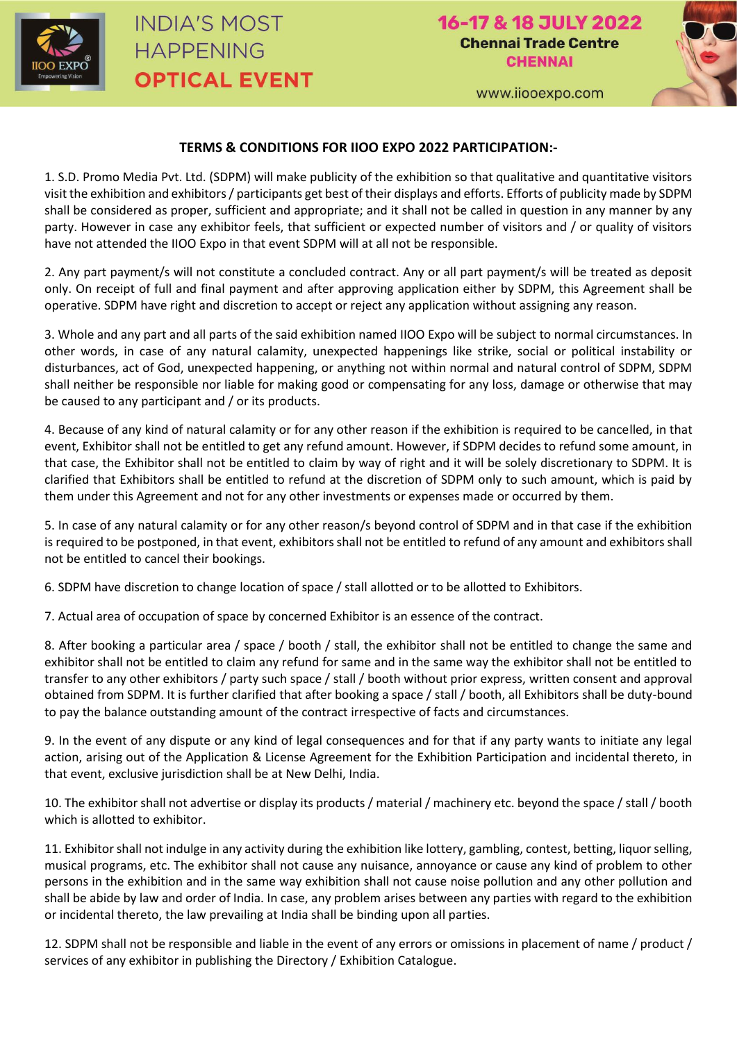

www.iiooexpo.com



## **TERMS & CONDITIONS FOR IIOO EXPO 2022 PARTICIPATION:-**

1. S.D. Promo Media Pvt. Ltd. (SDPM) will make publicity of the exhibition so that qualitative and quantitative visitors visit the exhibition and exhibitors / participants get best of their displays and efforts. Efforts of publicity made by SDPM shall be considered as proper, sufficient and appropriate; and it shall not be called in question in any manner by any party. However in case any exhibitor feels, that sufficient or expected number of visitors and / or quality of visitors have not attended the IIOO Expo in that event SDPM will at all not be responsible.

2. Any part payment/s will not constitute a concluded contract. Any or all part payment/s will be treated as deposit only. On receipt of full and final payment and after approving application either by SDPM, this Agreement shall be operative. SDPM have right and discretion to accept or reject any application without assigning any reason.

3. Whole and any part and all parts of the said exhibition named IIOO Expo will be subject to normal circumstances. In other words, in case of any natural calamity, unexpected happenings like strike, social or political instability or disturbances, act of God, unexpected happening, or anything not within normal and natural control of SDPM, SDPM shall neither be responsible nor liable for making good or compensating for any loss, damage or otherwise that may be caused to any participant and / or its products.

4. Because of any kind of natural calamity or for any other reason if the exhibition is required to be cancelled, in that event, Exhibitor shall not be entitled to get any refund amount. However, if SDPM decides to refund some amount, in that case, the Exhibitor shall not be entitled to claim by way of right and it will be solely discretionary to SDPM. It is clarified that Exhibitors shall be entitled to refund at the discretion of SDPM only to such amount, which is paid by them under this Agreement and not for any other investments or expenses made or occurred by them.

5. In case of any natural calamity or for any other reason/s beyond control of SDPM and in that case if the exhibition is required to be postponed, in that event, exhibitors shall not be entitled to refund of any amount and exhibitors shall not be entitled to cancel their bookings.

6. SDPM have discretion to change location of space / stall allotted or to be allotted to Exhibitors.

7. Actual area of occupation of space by concerned Exhibitor is an essence of the contract.

8. After booking a particular area / space / booth / stall, the exhibitor shall not be entitled to change the same and exhibitor shall not be entitled to claim any refund for same and in the same way the exhibitor shall not be entitled to transfer to any other exhibitors / party such space / stall / booth without prior express, written consent and approval obtained from SDPM. It is further clarified that after booking a space / stall / booth, all Exhibitors shall be duty-bound to pay the balance outstanding amount of the contract irrespective of facts and circumstances.

9. In the event of any dispute or any kind of legal consequences and for that if any party wants to initiate any legal action, arising out of the Application & License Agreement for the Exhibition Participation and incidental thereto, in that event, exclusive jurisdiction shall be at New Delhi, India.

10. The exhibitor shall not advertise or display its products / material / machinery etc. beyond the space / stall / booth which is allotted to exhibitor.

11. Exhibitor shall not indulge in any activity during the exhibition like lottery, gambling, contest, betting, liquor selling, musical programs, etc. The exhibitor shall not cause any nuisance, annoyance or cause any kind of problem to other persons in the exhibition and in the same way exhibition shall not cause noise pollution and any other pollution and shall be abide by law and order of India. In case, any problem arises between any parties with regard to the exhibition or incidental thereto, the law prevailing at India shall be binding upon all parties.

12. SDPM shall not be responsible and liable in the event of any errors or omissions in placement of name / product / services of any exhibitor in publishing the Directory / Exhibition Catalogue.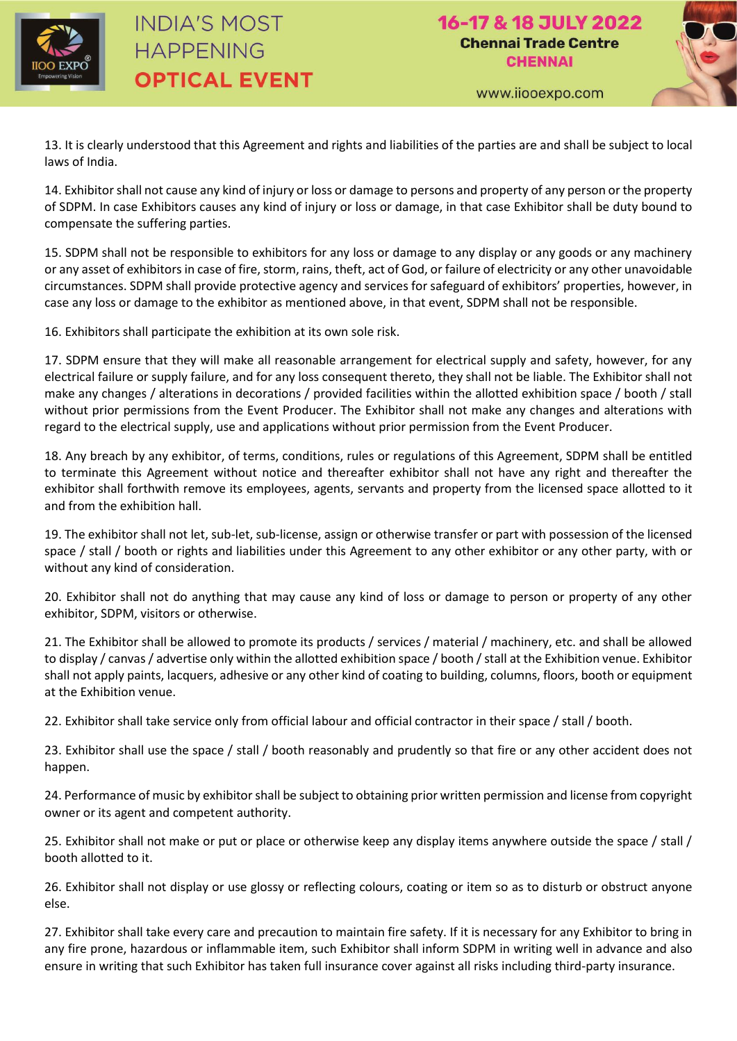

## **INDIA'S MOST HAPPENING OPTICAL EVENT**



www.iiooexpo.com

13. It is clearly understood that this Agreement and rights and liabilities of the parties are and shall be subject to local laws of India.

14. Exhibitor shall not cause any kind of injury or loss or damage to persons and property of any person or the property of SDPM. In case Exhibitors causes any kind of injury or loss or damage, in that case Exhibitor shall be duty bound to compensate the suffering parties.

15. SDPM shall not be responsible to exhibitors for any loss or damage to any display or any goods or any machinery or any asset of exhibitors in case of fire, storm, rains, theft, act of God, or failure of electricity or any other unavoidable circumstances. SDPM shall provide protective agency and services for safeguard of exhibitors' properties, however, in case any loss or damage to the exhibitor as mentioned above, in that event, SDPM shall not be responsible.

16. Exhibitors shall participate the exhibition at its own sole risk.

17. SDPM ensure that they will make all reasonable arrangement for electrical supply and safety, however, for any electrical failure or supply failure, and for any loss consequent thereto, they shall not be liable. The Exhibitor shall not make any changes / alterations in decorations / provided facilities within the allotted exhibition space / booth / stall without prior permissions from the Event Producer. The Exhibitor shall not make any changes and alterations with regard to the electrical supply, use and applications without prior permission from the Event Producer.

18. Any breach by any exhibitor, of terms, conditions, rules or regulations of this Agreement, SDPM shall be entitled to terminate this Agreement without notice and thereafter exhibitor shall not have any right and thereafter the exhibitor shall forthwith remove its employees, agents, servants and property from the licensed space allotted to it and from the exhibition hall.

19. The exhibitor shall not let, sub-let, sub-license, assign or otherwise transfer or part with possession of the licensed space / stall / booth or rights and liabilities under this Agreement to any other exhibitor or any other party, with or without any kind of consideration.

20. Exhibitor shall not do anything that may cause any kind of loss or damage to person or property of any other exhibitor, SDPM, visitors or otherwise.

21. The Exhibitor shall be allowed to promote its products / services / material / machinery, etc. and shall be allowed to display / canvas / advertise only within the allotted exhibition space / booth / stall at the Exhibition venue. Exhibitor shall not apply paints, lacquers, adhesive or any other kind of coating to building, columns, floors, booth or equipment at the Exhibition venue.

22. Exhibitor shall take service only from official labour and official contractor in their space / stall / booth.

23. Exhibitor shall use the space / stall / booth reasonably and prudently so that fire or any other accident does not happen.

24. Performance of music by exhibitor shall be subject to obtaining prior written permission and license from copyright owner or its agent and competent authority.

25. Exhibitor shall not make or put or place or otherwise keep any display items anywhere outside the space / stall / booth allotted to it.

26. Exhibitor shall not display or use glossy or reflecting colours, coating or item so as to disturb or obstruct anyone else.

27. Exhibitor shall take every care and precaution to maintain fire safety. If it is necessary for any Exhibitor to bring in any fire prone, hazardous or inflammable item, such Exhibitor shall inform SDPM in writing well in advance and also ensure in writing that such Exhibitor has taken full insurance cover against all risks including third-party insurance.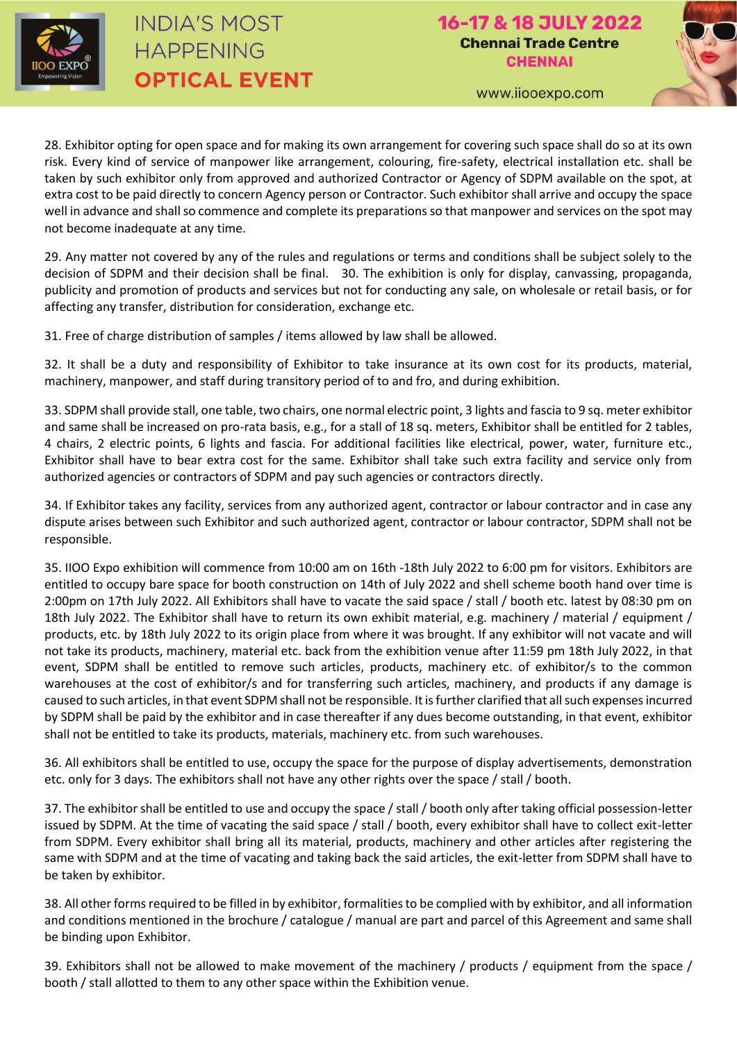

## **INDIA'S MOST HAPPENING OPTICAL EVENT**

16-17 & 18 JULY 2022 **Chennai Trade Centre CHENNAI** 



www.iiooexpo.com

28. Exhibitor opting for open space and for making its own arrangement for covering such space shall do so at its own risk. Every kind of service of manpower like arrangement, colouring, fire-safety, electrical installation etc. shall be taken by such exhibitor only from approved and authorized Contractor or Agency of SDPM available on the spot, at extra cost to be paid directly to concern Agency person or Contractor. Such exhibitor shall arrive and occupy the space well in advance and shall so commence and complete its preparations so that manpower and services on the spot may not become inadequate at any time.

29. Any matter not covered by any of the rules and regulations or terms and conditions shall be subject solely to the decision of SDPM and their decision shall be final. 30. The exhibition is only for display, canvassing, propaganda, publicity and promotion of products and services but not for conducting any sale, on wholesale or retail basis, or for affecting any transfer, distribution for consideration, exchange etc.

31. Free of charge distribution of samples / items allowed by law shall be allowed.

32. It shall be a duty and responsibility of Exhibitor to take insurance at its own cost for its products, material, machinery, manpower, and staff during transitory period of to and fro, and during exhibition.

33. SDPM shall provide stall, one table, two chairs, one normal electric point, 3 lights and fascia to 9 sq. meter exhibitor and same shall be increased on pro-rata basis, e.g., for a stall of 18 sq. meters, Exhibitor shall be entitled for 2 tables, 4 chairs, 2 electric points, 6 lights and fascia. For additional facilities like electrical, power, water, furniture etc., Exhibitor shall have to bear extra cost for the same. Exhibitor shall take such extra facility and service only from authorized agencies or contractors of SDPM and pay such agencies or contractors directly.

34. If Exhibitor takes any facility, services from any authorized agent, contractor or labour contractor and in case any dispute arises between such Exhibitor and such authorized agent, contractor or labour contractor, SDPM shall not be responsible.

35. IIOO Expo exhibition will commence from 10:00 am on 16th -18th July 2022 to 6:00 pm for visitors. Exhibitors are entitled to occupy bare space for booth construction on 14th of July 2022 and shell scheme booth hand over time is 2:00pm on 17th July 2022. All Exhibitors shall have to vacate the said space / stall / booth etc. latest by 08:30 pm on 18th July 2022. The Exhibitor shall have to return its own exhibit material, e.g. machinery / material / equipment / products, etc. by 18th July 2022 to its origin place from where it was brought. If any exhibitor will not vacate and will not take its products, machinery, material etc. back from the exhibition venue after 11:59 pm 18th July 2022, in that event, SDPM shall be entitled to remove such articles, products, machinery etc. of exhibitor/s to the common warehouses at the cost of exhibitor/s and for transferring such articles, machinery, and products if any damage is caused to such articles, in that event SDPM shall not be responsible. It is further clarified that all such expenses incurred by SDPM shall be paid by the exhibitor and in case thereafter if any dues become outstanding, in that event, exhibitor shall not be entitled to take its products, materials, machinery etc. from such warehouses.

36. All exhibitors shall be entitled to use, occupy the space for the purpose of display advertisements, demonstration etc. only for 3 days. The exhibitors shall not have any other rights over the space / stall / booth.

37. The exhibitor shall be entitled to use and occupy the space / stall / booth only after taking official possession-letter issued by SDPM. At the time of vacating the said space / stall / booth, every exhibitor shall have to collect exit-letter from SDPM. Every exhibitor shall bring all its material, products, machinery and other articles after registering the same with SDPM and at the time of vacating and taking back the said articles, the exit-letter from SDPM shall have to be taken by exhibitor.

38. All other forms required to be filled in by exhibitor, formalities to be complied with by exhibitor, and all information and conditions mentioned in the brochure / catalogue / manual are part and parcel of this Agreement and same shall be binding upon Exhibitor.

39. Exhibitors shall not be allowed to make movement of the machinery / products / equipment from the space / booth / stall allotted to them to any other space within the Exhibition venue.